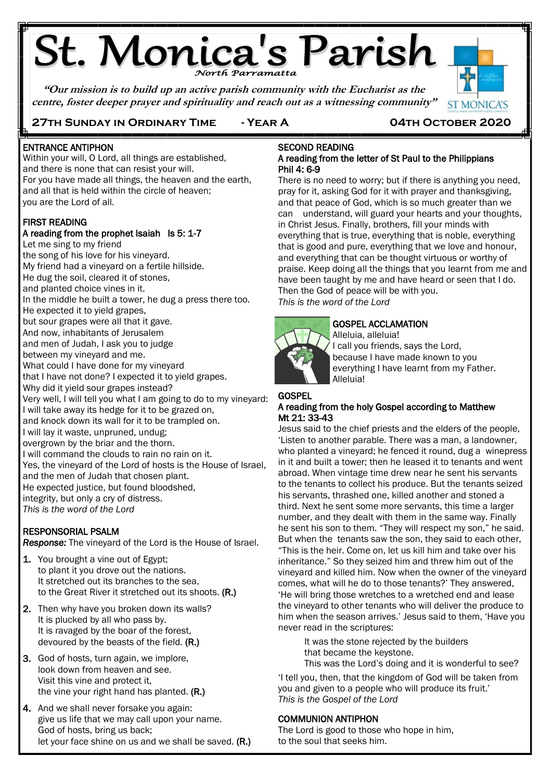# **St. Monica's Parish**

**"Our mission is to build up an active parish community with the Eucharist as the centre, foster deeper prayer and spirituality and reach out as a witnessing community"**



## **27th Sunday in Ordinary Time - Year A 04th October 2020**

# ENTRANCE ANTIPHON

Ë

Within your will, O Lord, all things are established, and there is none that can resist your will. For you have made all things, the heaven and the earth, and all that is held within the circle of heaven; you are the Lord of all.

#### FIRST READING

## A reading from the prophet Isaiah Is 5: 1-7

Let me sing to my friend the song of his love for his vineyard. My friend had a vineyard on a fertile hillside. He dug the soil, cleared it of stones, and planted choice vines in it. In the middle he built a tower, he dug a press there too. He expected it to yield grapes, but sour grapes were all that it gave. And now, inhabitants of Jerusalem and men of Judah, I ask you to judge between my vineyard and me. What could I have done for my vineyard that I have not done? I expected it to yield grapes. Why did it yield sour grapes instead? Very well, I will tell you what I am going to do to my vineyard: I will take away its hedge for it to be grazed on, and knock down its wall for it to be trampled on. I will lay it waste, unpruned, undug; overgrown by the briar and the thorn. I will command the clouds to rain no rain on it. Yes, the vineyard of the Lord of hosts is the House of Israel, and the men of Judah that chosen plant. He expected justice, but found bloodshed, integrity, but only a cry of distress. *This is the word of the Lord*

#### RESPONSORIAL PSALM

*Response:* The vineyard of the Lord is the House of Israel.

- 1. You brought a vine out of Egypt; to plant it you drove out the nations. It stretched out its branches to the sea, to the Great River it stretched out its shoots. **(R.)**
- 2. Then why have you broken down its walls? It is plucked by all who pass by. It is ravaged by the boar of the forest, devoured by the beasts of the field. **(R.)**
- 3. God of hosts, turn again, we implore, look down from heaven and see. Visit this vine and protect it, the vine your right hand has planted. **(R.)**
- 4. And we shall never forsake you again: give us life that we may call upon your name. God of hosts, bring us back; let your face shine on us and we shall be saved. (R.)

#### SECOND READING A reading from the letter of St Paul to the Philippians Phil 4: 6-9

There is no need to worry; but if there is anything you need, pray for it, asking God for it with prayer and thanksgiving, and that peace of God, which is so much greater than we can understand, will guard your hearts and your thoughts, in Christ Jesus. Finally, brothers, fill your minds with everything that is true, everything that is noble, everything that is good and pure, everything that we love and honour, and everything that can be thought virtuous or worthy of praise. Keep doing all the things that you learnt from me and have been taught by me and have heard or seen that I do. Then the God of peace will be with you. *This is the word of the Lord*

#### GOSPEL ACCLAMATION

Alleluia, alleluia! I call you friends, says the Lord, because I have made known to you everything I have learnt from my Father. Alleluia!

#### **GOSPEL** A reading from the holy Gospel according to Matthew Mt 21: 33-43

Jesus said to the chief priests and the elders of the people, 'Listen to another parable. There was a man, a landowner, who planted a vineyard; he fenced it round, dug a winepress in it and built a tower; then he leased it to tenants and went abroad. When vintage time drew near he sent his servants to the tenants to collect his produce. But the tenants seized his servants, thrashed one, killed another and stoned a third. Next he sent some more servants, this time a larger number, and they dealt with them in the same way. Finally he sent his son to them. "They will respect my son," he said. But when the tenants saw the son, they said to each other, "This is the heir. Come on, let us kill him and take over his inheritance." So they seized him and threw him out of the vineyard and killed him. Now when the owner of the vineyard comes, what will he do to those tenants?' They answered, 'He will bring those wretches to a wretched end and lease the vineyard to other tenants who will deliver the produce to him when the season arrives.' Jesus said to them, 'Have you never read in the scriptures:

It was the stone rejected by the builders that became the keystone. This was the Lord's doing and it is wonderful to see?

'I tell you, then, that the kingdom of God will be taken from you and given to a people who will produce its fruit.' *This is the Gospel of the Lord*

#### COMMUNION ANTIPHON

The Lord is good to those who hope in him, to the soul that seeks him.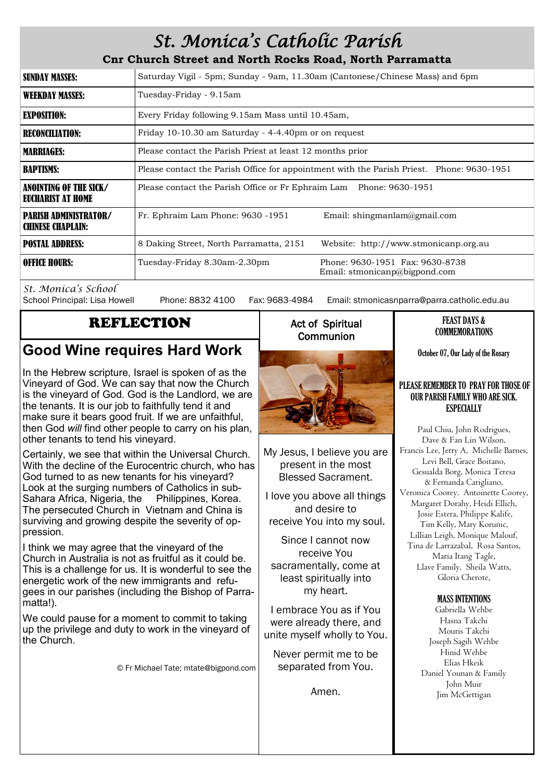# *St. Monica's Catholic Parish*

**Cnr Church Street and North Rocks Road, North Parramatta**

| <b>SUNDAY MASSES:</b>                                    | Saturday Vigil - 5pm; Sunday - 9am, 11.30am (Cantonese/Chinese Mass) and 6pm                     |  |  |
|----------------------------------------------------------|--------------------------------------------------------------------------------------------------|--|--|
| <b>WEEKDAY MASSES:</b>                                   | Tuesday-Friday - 9.15am                                                                          |  |  |
| <b>EXPOSITION:</b>                                       | Every Friday following 9.15am Mass until 10.45am,                                                |  |  |
| <b>RECONCILIATION:</b>                                   | Friday 10-10.30 am Saturday - 4-4.40pm or on request                                             |  |  |
| <b>MARRIAGES:</b>                                        | Please contact the Parish Priest at least 12 months prior                                        |  |  |
| <b>BAPTISMS:</b>                                         | Please contact the Parish Office for appointment with the Parish Priest. Phone: 9630-1951        |  |  |
| ANOINTING OF THE SICK/<br>EUCHARIST AT HOME              | Please contact the Parish Office or Fr Ephraim Lam Phone: 9630-1951                              |  |  |
| <b>PARISH ADMINISTRATOR/</b><br><b>CHINESE CHAPLAIN:</b> | Fr. Ephraim Lam Phone: 9630 -1951<br>Email: shingmanlam@gmail.com                                |  |  |
| <b>POSTAL ADDRESS:</b>                                   | 8 Daking Street, North Parramatta, 2151<br>Website: http://www.stmonicanp.org.au                 |  |  |
| <b>OFFICE HOURS:</b>                                     | Phone: 9630-1951 Fax: 9630-8738<br>Tuesday-Friday 8.30am-2.30pm<br>Email: stmonicanp@bigpond.com |  |  |

*St. Monica's School*

Phone: 8832 4100 Fax: 9683-4984 Email: stmonicasnparra@parra.catholic.edu.au

## REFLECTION

## **Good Wine requires Hard Work**

In the Hebrew scripture, Israel is spoken of as the Vineyard of God. We can say that now the Church is the vineyard of God. God is the Landlord, we are the tenants. It is our job to faithfully tend it and make sure it bears good fruit. If we are unfaithful, then God *will* find other people to carry on his plan, other tenants to tend his vineyard.

Certainly, we see that within the Universal Church. With the decline of the Eurocentric church, who has God turned to as new tenants for his vineyard? Look at the surging numbers of Catholics in sub-Sahara Africa, Nigeria, the Philippines, Korea. The persecuted Church in Vietnam and China is surviving and growing despite the severity of oppression.

I think we may agree that the vineyard of the Church in Australia is not as fruitful as it could be. This is a challenge for us. It is wonderful to see the energetic work of the new immigrants and refugees in our parishes (including the Bishop of Parramatta!).

We could pause for a moment to commit to taking up the privilege and duty to work in the vineyard of the Church.

© Fr Michael Tate; mtate@bigpond.com

## Act of Spiritual **Communion**



My Jesus, I believe you are present in the most Blessed Sacrament.

I love you above all things and desire to receive You into my soul.

Since I cannot now receive You sacramentally, come at least spiritually into my heart.

I embrace You as if You were already there, and unite myself wholly to You.

Never permit me to be separated from You.

Amen.

#### FEAST DAYS & COMMEMORATIONS

October 07, Our Lady of the Rosary

#### PLEASE REMEMBER TO PRAY FOR THOSE OF OUR PARISH FAMILY WHO ARE SICK. **ESPECIALLY**

Paul Chiu, John Rodrigues, Dave & Fan Lin Wilson, Francis Lee, Jerry A, Michelle Barnes, Levi Bell, Grace Boitano, Gesualda Borg, Monica Teresa & Fernanda Carigliano, Veronica Coorey. Antoinette Coorey, Margaret Dorahy, Heidi Ellich, Josie Estera, Philippe Kalife, Tim Kelly, Mary Korunic, Lillian Leigh, Monique Malouf, Tina de Larrazabal, Rosa Santos, Maria Itang Tagle, Llave Family, Sheila Watts, Gloria Cherote,

#### MASS INTENTIONS

Gabriella Wehbe Hasna Takchi Mouris Takchi Joseph Sagih Wehbe Hinid Wehbe Elias Hkeik Daniel Younan & Family John Muir Jim McGettigan